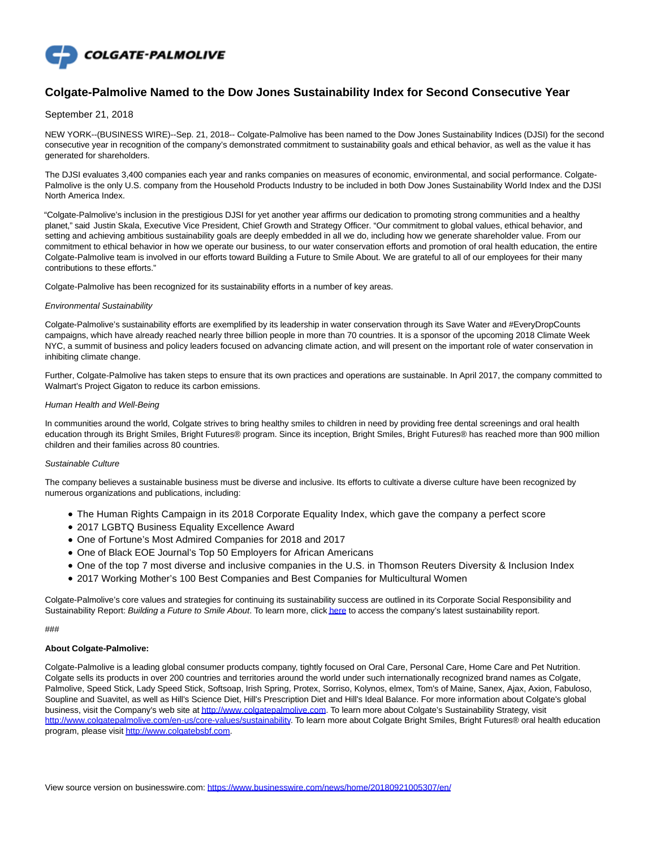

# **Colgate-Palmolive Named to the Dow Jones Sustainability Index for Second Consecutive Year**

## September 21, 2018

NEW YORK--(BUSINESS WIRE)--Sep. 21, 2018-- Colgate-Palmolive has been named to the Dow Jones Sustainability Indices (DJSI) for the second consecutive year in recognition of the company's demonstrated commitment to sustainability goals and ethical behavior, as well as the value it has generated for shareholders.

The DJSI evaluates 3,400 companies each year and ranks companies on measures of economic, environmental, and social performance. Colgate-Palmolive is the only U.S. company from the Household Products Industry to be included in both Dow Jones Sustainability World Index and the DJSI North America Index.

"Colgate-Palmolive's inclusion in the prestigious DJSI for yet another year affirms our dedication to promoting strong communities and a healthy planet," said Justin Skala, Executive Vice President, Chief Growth and Strategy Officer. "Our commitment to global values, ethical behavior, and setting and achieving ambitious sustainability goals are deeply embedded in all we do, including how we generate shareholder value. From our commitment to ethical behavior in how we operate our business, to our water conservation efforts and promotion of oral health education, the entire Colgate-Palmolive team is involved in our efforts toward Building a Future to Smile About. We are grateful to all of our employees for their many contributions to these efforts."

Colgate-Palmolive has been recognized for its sustainability efforts in a number of key areas.

#### Environmental Sustainability

Colgate-Palmolive's sustainability efforts are exemplified by its leadership in water conservation through its Save Water and #EveryDropCounts campaigns, which have already reached nearly three billion people in more than 70 countries. It is a sponsor of the upcoming 2018 Climate Week NYC, a summit of business and policy leaders focused on advancing climate action, and will present on the important role of water conservation in inhibiting climate change.

Further, Colgate-Palmolive has taken steps to ensure that its own practices and operations are sustainable. In April 2017, the company committed to Walmart's Project Gigaton to reduce its carbon emissions.

#### Human Health and Well-Being

In communities around the world, Colgate strives to bring healthy smiles to children in need by providing free dental screenings and oral health education through its Bright Smiles, Bright Futures® program. Since its inception, Bright Smiles, Bright Futures® has reached more than 900 million children and their families across 80 countries.

#### Sustainable Culture

The company believes a sustainable business must be diverse and inclusive. Its efforts to cultivate a diverse culture have been recognized by numerous organizations and publications, including:

- The Human Rights Campaign in its 2018 Corporate Equality Index, which gave the company a perfect score
- 2017 LGBTQ Business Equality Excellence Award
- One of Fortune's Most Admired Companies for 2018 and 2017
- One of Black EOE Journal's Top 50 Employers for African Americans
- One of the top 7 most diverse and inclusive companies in the U.S. in Thomson Reuters Diversity & Inclusion Index
- 2017 Working Mother's 100 Best Companies and Best Companies for Multicultural Women

Colgate-Palmolive's core values and strategies for continuing its sustainability success are outlined in its Corporate Social Responsibility and Sustainability Report: Building a Future to Smile About. To learn more, clic[k here t](http://cts.businesswire.com/ct/CT?id=smartlink&url=https%3A%2F%2Fwww.colgatepalmolive.com.au%2Fcontent%2Fdam%2Fcp-sites%2Fcorporate%2Fcorporate%2Fen_us%2Fcorp%2Flocale-assets%2Fpdf%2FColgate_CorporateSocialResponsibility_SustainabilityReport_2017.pdf.&esheet=51870748&newsitemid=20180921005307&lan=en-US&anchor=here&index=1&md5=a7e18ae08ccbfb60bf53faba6d07e942)o access the company's latest sustainability report.

#### ###

## **About Colgate-Palmolive:**

Colgate-Palmolive is a leading global consumer products company, tightly focused on Oral Care, Personal Care, Home Care and Pet Nutrition. Colgate sells its products in over 200 countries and territories around the world under such internationally recognized brand names as Colgate, Palmolive, Speed Stick, Lady Speed Stick, Softsoap, Irish Spring, Protex, Sorriso, Kolynos, elmex, Tom's of Maine, Sanex, Ajax, Axion, Fabuloso, Soupline and Suavitel, as well as Hill's Science Diet, Hill's Prescription Diet and Hill's Ideal Balance. For more information about Colgate's global business, visit the Company's web site a[t http://www.colgatepalmolive.com.](http://cts.businesswire.com/ct/CT?id=smartlink&url=http%3A%2F%2Fwww.colgatepalmolive.com&esheet=51870748&newsitemid=20180921005307&lan=en-US&anchor=http%3A%2F%2Fwww.colgatepalmolive.com&index=2&md5=ba7893d2b4e843b23e1b67749361ed7e) To learn more about Colgate's Sustainability Strategy, visit [http://www.colgatepalmolive.com/en-us/core-values/sustainability.](http://cts.businesswire.com/ct/CT?id=smartlink&url=http%3A%2F%2Fwww.colgatepalmolive.com%2Fen-us%2Fcore-values%2Fsustainability&esheet=51870748&newsitemid=20180921005307&lan=en-US&anchor=http%3A%2F%2Fwww.colgatepalmolive.com%2Fen-us%2Fcore-values%2Fsustainability&index=3&md5=988dae2a2b883bf7228a8b358fbe19a7) To learn more about Colgate Bright Smiles, Bright Futures® oral health education program, please visi[t http://www.colgatebsbf.com.](http://cts.businesswire.com/ct/CT?id=smartlink&url=http%3A%2F%2Fwww.colgatebsbf.com&esheet=51870748&newsitemid=20180921005307&lan=en-US&anchor=http%3A%2F%2Fwww.colgatebsbf.com&index=4&md5=f1a0e1f5d786723211ea5ed15207f230)